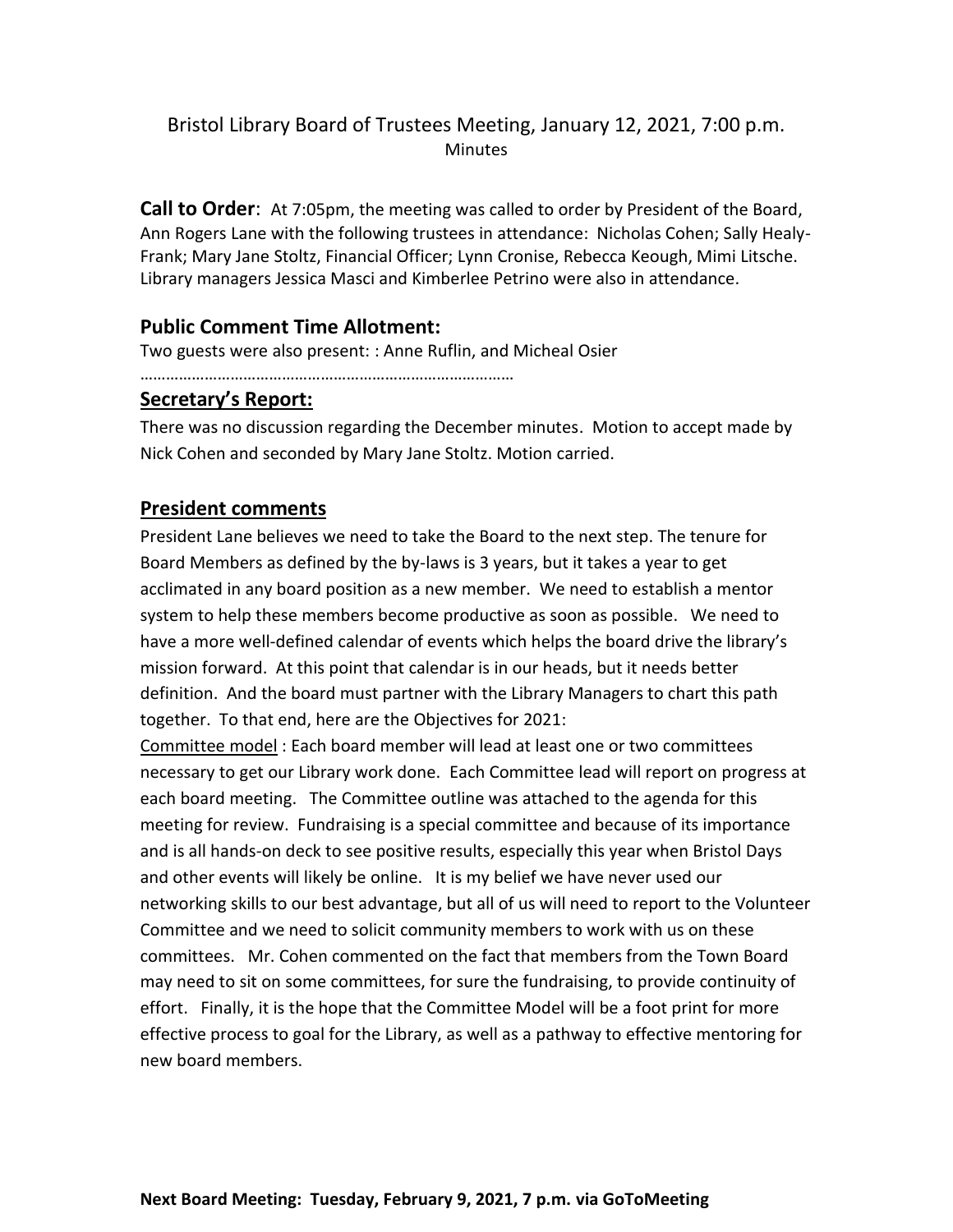# Bristol Library Board of Trustees Meeting, January 12, 2021, 7:00 p.m. Minutes

**Call to Order**: At 7:05pm, the meeting was called to order by President of the Board, Ann Rogers Lane with the following trustees in attendance: Nicholas Cohen; Sally Healy-Frank; Mary Jane Stoltz, Financial Officer; Lynn Cronise, Rebecca Keough, Mimi Litsche. Library managers Jessica Masci and Kimberlee Petrino were also in attendance.

## **Public Comment Time Allotment:**

Two guests were also present: : Anne Ruflin, and Micheal Osier

……………………………………………………………………………

## **Secretary's Report:**

There was no discussion regarding the December minutes. Motion to accept made by Nick Cohen and seconded by Mary Jane Stoltz. Motion carried.

## **President comments**

President Lane believes we need to take the Board to the next step. The tenure for Board Members as defined by the by-laws is 3 years, but it takes a year to get acclimated in any board position as a new member. We need to establish a mentor system to help these members become productive as soon as possible. We need to have a more well-defined calendar of events which helps the board drive the library's mission forward. At this point that calendar is in our heads, but it needs better definition. And the board must partner with the Library Managers to chart this path together. To that end, here are the Objectives for 2021:

Committee model : Each board member will lead at least one or two committees necessary to get our Library work done. Each Committee lead will report on progress at each board meeting. The Committee outline was attached to the agenda for this meeting for review. Fundraising is a special committee and because of its importance and is all hands-on deck to see positive results, especially this year when Bristol Days and other events will likely be online. It is my belief we have never used our networking skills to our best advantage, but all of us will need to report to the Volunteer Committee and we need to solicit community members to work with us on these committees. Mr. Cohen commented on the fact that members from the Town Board may need to sit on some committees, for sure the fundraising, to provide continuity of effort. Finally, it is the hope that the Committee Model will be a foot print for more effective process to goal for the Library, as well as a pathway to effective mentoring for new board members.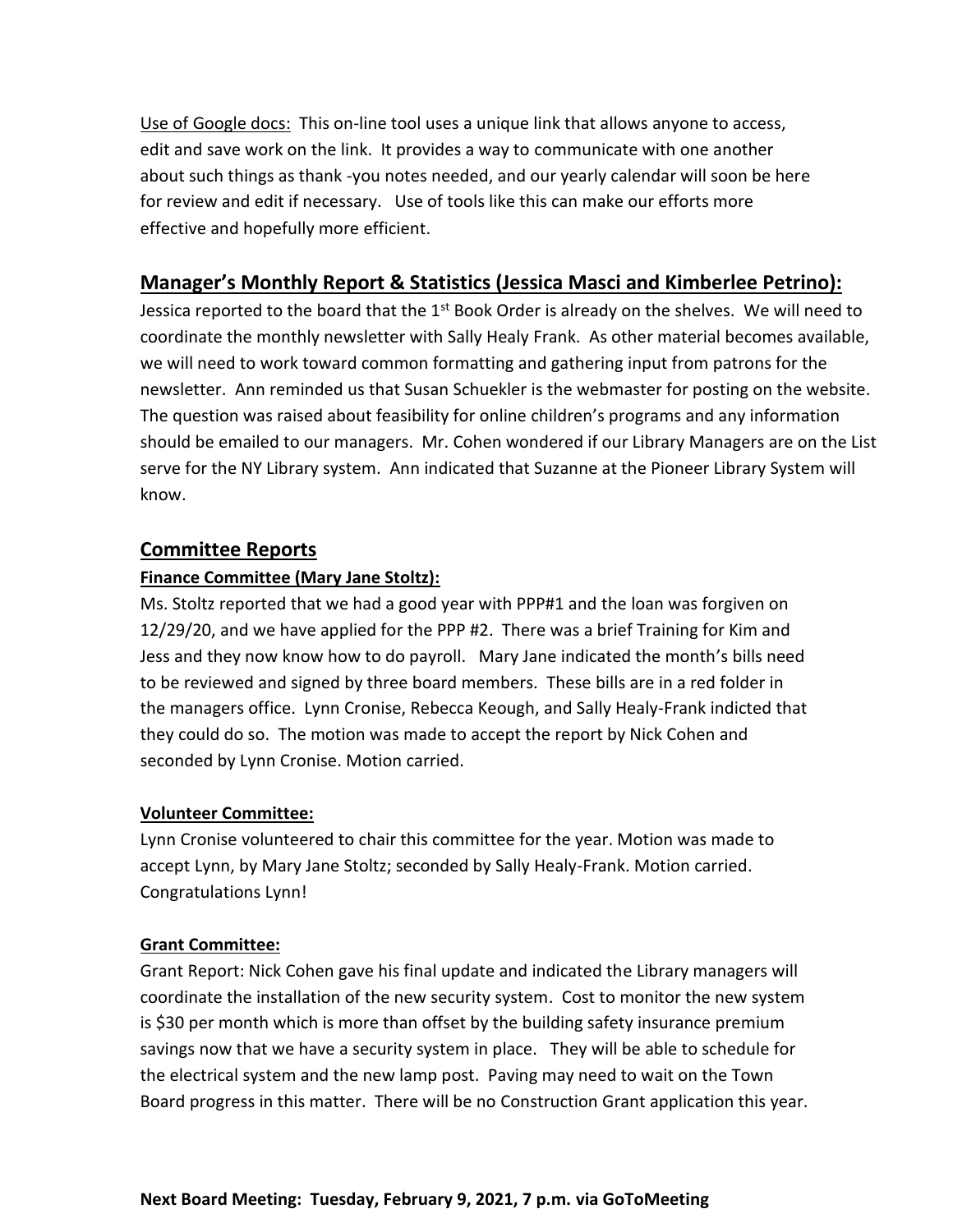Use of Google docs: This on-line tool uses a unique link that allows anyone to access, edit and save work on the link. It provides a way to communicate with one another about such things as thank -you notes needed, and our yearly calendar will soon be here for review and edit if necessary. Use of tools like this can make our efforts more effective and hopefully more efficient.

## **Manager's Monthly Report & Statistics (Jessica Masci and Kimberlee Petrino):**

Jessica reported to the board that the  $1<sup>st</sup>$  Book Order is already on the shelves. We will need to coordinate the monthly newsletter with Sally Healy Frank. As other material becomes available, we will need to work toward common formatting and gathering input from patrons for the newsletter. Ann reminded us that Susan Schuekler is the webmaster for posting on the website. The question was raised about feasibility for online children's programs and any information should be emailed to our managers. Mr. Cohen wondered if our Library Managers are on the List serve for the NY Library system. Ann indicated that Suzanne at the Pioneer Library System will know.

## **Committee Reports**

### **Finance Committee (Mary Jane Stoltz):**

Ms. Stoltz reported that we had a good year with PPP#1 and the loan was forgiven on 12/29/20, and we have applied for the PPP #2. There was a brief Training for Kim and Jess and they now know how to do payroll. Mary Jane indicated the month's bills need to be reviewed and signed by three board members. These bills are in a red folder in the managers office. Lynn Cronise, Rebecca Keough, and Sally Healy-Frank indicted that they could do so. The motion was made to accept the report by Nick Cohen and seconded by Lynn Cronise. Motion carried.

### **Volunteer Committee:**

Lynn Cronise volunteered to chair this committee for the year. Motion was made to accept Lynn, by Mary Jane Stoltz; seconded by Sally Healy-Frank. Motion carried. Congratulations Lynn!

#### **Grant Committee:**

Grant Report: Nick Cohen gave his final update and indicated the Library managers will coordinate the installation of the new security system. Cost to monitor the new system is \$30 per month which is more than offset by the building safety insurance premium savings now that we have a security system in place. They will be able to schedule for the electrical system and the new lamp post. Paving may need to wait on the Town Board progress in this matter. There will be no Construction Grant application this year.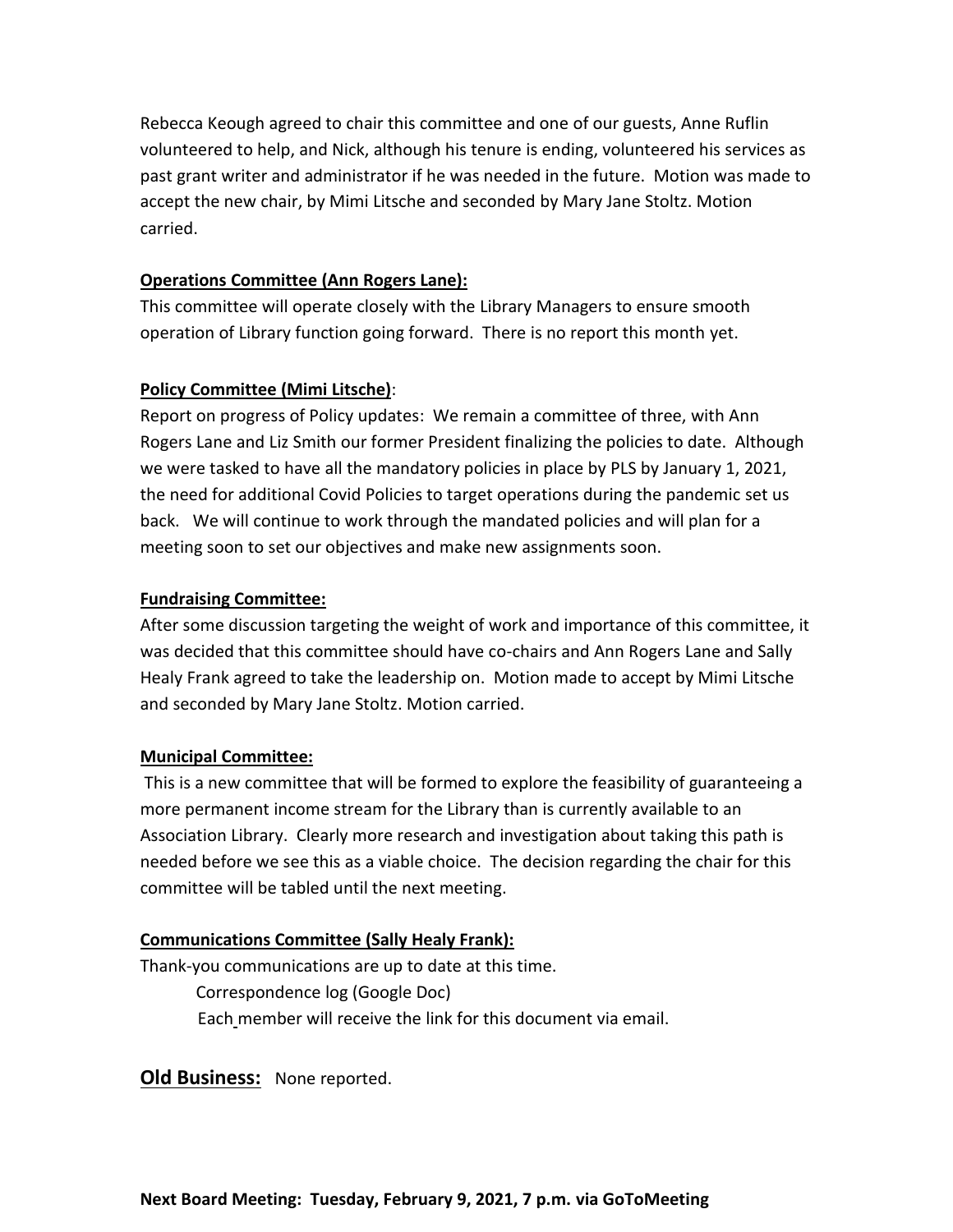Rebecca Keough agreed to chair this committee and one of our guests, Anne Ruflin volunteered to help, and Nick, although his tenure is ending, volunteered his services as past grant writer and administrator if he was needed in the future. Motion was made to accept the new chair, by Mimi Litsche and seconded by Mary Jane Stoltz. Motion carried.

#### **Operations Committee (Ann Rogers Lane):**

This committee will operate closely with the Library Managers to ensure smooth operation of Library function going forward. There is no report this month yet.

#### **Policy Committee (Mimi Litsche)**:

Report on progress of Policy updates: We remain a committee of three, with Ann Rogers Lane and Liz Smith our former President finalizing the policies to date. Although we were tasked to have all the mandatory policies in place by PLS by January 1, 2021, the need for additional Covid Policies to target operations during the pandemic set us back. We will continue to work through the mandated policies and will plan for a meeting soon to set our objectives and make new assignments soon.

#### **Fundraising Committee:**

After some discussion targeting the weight of work and importance of this committee, it was decided that this committee should have co-chairs and Ann Rogers Lane and Sally Healy Frank agreed to take the leadership on. Motion made to accept by Mimi Litsche and seconded by Mary Jane Stoltz. Motion carried.

#### **Municipal Committee:**

This is a new committee that will be formed to explore the feasibility of guaranteeing a more permanent income stream for the Library than is currently available to an Association Library. Clearly more research and investigation about taking this path is needed before we see this as a viable choice. The decision regarding the chair for this committee will be tabled until the next meeting.

#### **Communications Committee (Sally Healy Frank):**

Thank-you communications are up to date at this time. Correspondence log (Google Doc) Each member will receive the link for this document via email.

**Old Business:** None reported.